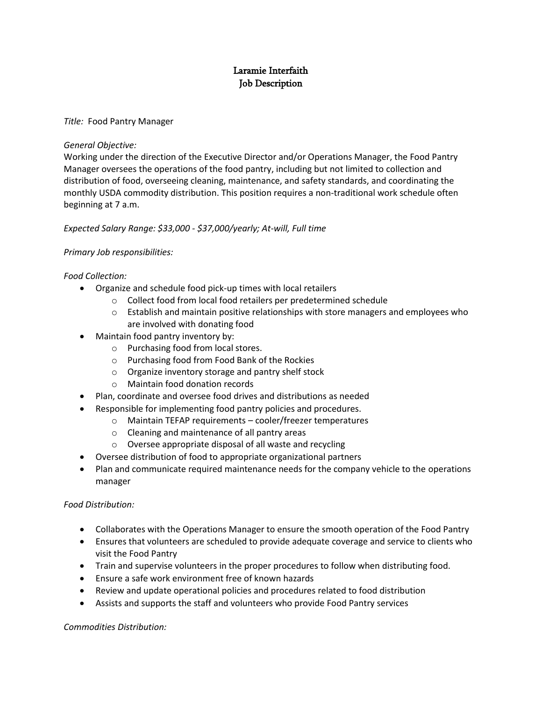# Laramie Interfaith Job Description

## *Title:* Food Pantry Manager

## *General Objective:*

Working under the direction of the Executive Director and/or Operations Manager, the Food Pantry Manager oversees the operations of the food pantry, including but not limited to collection and distribution of food, overseeing cleaning, maintenance, and safety standards, and coordinating the monthly USDA commodity distribution. This position requires a non-traditional work schedule often beginning at 7 a.m.

## *Expected Salary Range: \$33,000 - \$37,000/yearly; At-will, Full time*

## *Primary Job responsibilities:*

## *Food Collection:*

- Organize and schedule food pick-up times with local retailers
	- o Collect food from local food retailers per predetermined schedule
	- $\circ$  Establish and maintain positive relationships with store managers and employees who are involved with donating food
- Maintain food pantry inventory by:
	- o Purchasing food from local stores.
	- o Purchasing food from Food Bank of the Rockies
	- o Organize inventory storage and pantry shelf stock
	- o Maintain food donation records
- Plan, coordinate and oversee food drives and distributions as needed
- Responsible for implementing food pantry policies and procedures.
	- o Maintain TEFAP requirements cooler/freezer temperatures
	- o Cleaning and maintenance of all pantry areas
	- o Oversee appropriate disposal of all waste and recycling
- Oversee distribution of food to appropriate organizational partners
- Plan and communicate required maintenance needs for the company vehicle to the operations manager

#### *Food Distribution:*

- Collaborates with the Operations Manager to ensure the smooth operation of the Food Pantry
- Ensures that volunteers are scheduled to provide adequate coverage and service to clients who visit the Food Pantry
- Train and supervise volunteers in the proper procedures to follow when distributing food.
- Ensure a safe work environment free of known hazards
- Review and update operational policies and procedures related to food distribution
- Assists and supports the staff and volunteers who provide Food Pantry services

*Commodities Distribution:*